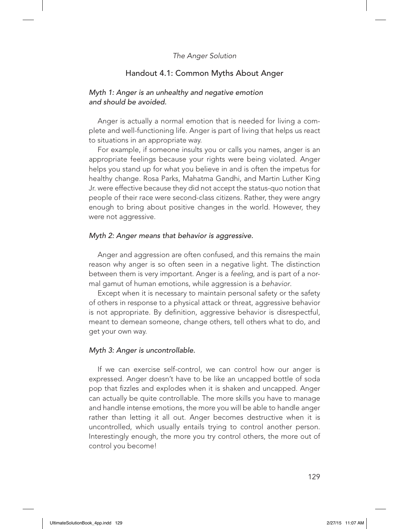# The Anger Solution

# Handout 4.1: Common Myths About Anger

# Myth 1: Anger is an unhealthy and negative emotion and should be avoided.

Anger is actually a normal emotion that is needed for living a complete and well-functioning life. Anger is part of living that helps us react to situations in an appropriate way.

For example, if someone insults you or calls you names, anger is an appropriate feelings because your rights were being violated. Anger helps you stand up for what you believe in and is often the impetus for healthy change. Rosa Parks, Mahatma Gandhi, and Martin Luther King Jr. were effective because they did not accept the status-quo notion that people of their race were second-class citizens. Rather, they were angry enough to bring about positive changes in the world. However, they were not aggressive.

## Myth 2: Anger means that behavior is aggressive.

Anger and aggression are often confused, and this remains the main reason why anger is so often seen in a negative light. The distinction between them is very important. Anger is a feeling, and is part of a normal gamut of human emotions, while aggression is a behavior.

Except when it is necessary to maintain personal safety or the safety of others in response to a physical attack or threat, aggressive behavior is not appropriate. By definition, aggressive behavior is disrespectful, meant to demean someone, change others, tell others what to do, and get your own way.

#### Myth 3: Anger is uncontrollable.

If we can exercise self-control, we can control how our anger is expressed. Anger doesn't have to be like an uncapped bottle of soda pop that fizzles and explodes when it is shaken and uncapped. Anger can actually be quite controllable. The more skills you have to manage and handle intense emotions, the more you will be able to handle anger rather than letting it all out. Anger becomes destructive when it is uncontrolled, which usually entails trying to control another person. Interestingly enough, the more you try control others, the more out of control you become!